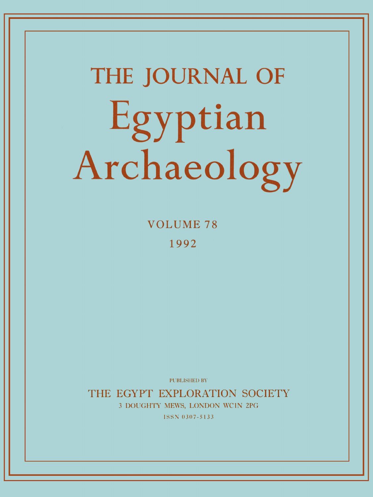# **THE JOURNAL OF**  Egyptian Archaeology

VOLUME 7 8 199 2

**PUBLISHED BY** 

THE EGYPT EXPLORATION SOCIETY 3 DOUGHTY MEWS, LONDON WC1N 2PG

ISSN 0307-5133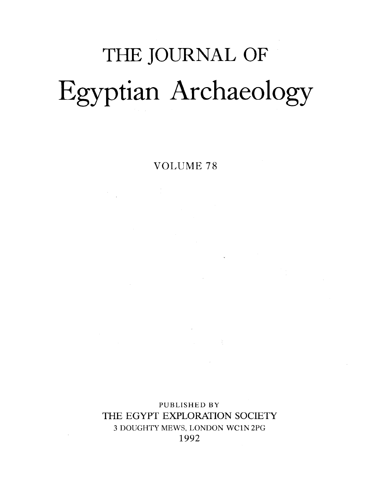## THE JOURNAL OF Egyptian Archaeology

VOLUME 78

**PUBLISHE D B Y**  THE EGYPT EXPLORATION SOCIETY 3 DOUGHTY MEWS, LONDON WC1N2PG 1992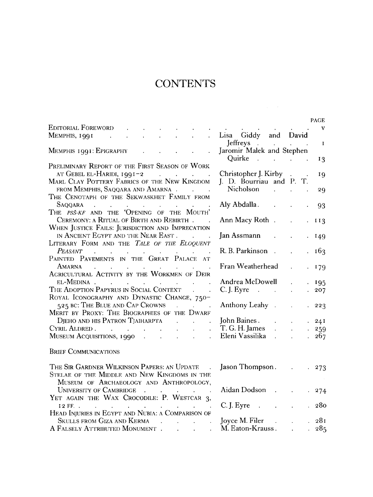## **CONTENTS**

|                                                                                                                                                             |                                     |                                   |                            |                                    | <b>PAGE</b>        |
|-------------------------------------------------------------------------------------------------------------------------------------------------------------|-------------------------------------|-----------------------------------|----------------------------|------------------------------------|--------------------|
| Editorial Foreword                                                                                                                                          |                                     |                                   |                            |                                    | $\mathbf{V}$       |
|                                                                                                                                                             | Jeffreys                            |                                   |                            |                                    | $\mathbf{I}$       |
| Memphis 1991: Epigraphy                                                                                                                                     | Jaromir Malek and Stephen<br>Quirke |                                   |                            |                                    | 13                 |
| PRELIMINARY REPORT OF THE FIRST SEASON OF WORK                                                                                                              |                                     |                                   |                            |                                    |                    |
| AT GEBEL EL-HARIDI, $1991-2$                                                                                                                                | Christopher J. Kirby                |                                   |                            |                                    | 19                 |
| MARL CLAY POTTERY FABRICS OF THE NEW KINGDOM                                                                                                                | J. D. Bourriau and P. T.            |                                   |                            |                                    |                    |
| FROM MEMPHIS, SAQQARA AND AMARNA.                                                                                                                           | Nicholson                           |                                   |                            |                                    | 29                 |
| THE CENOTAPH OF THE SEKWASKHET FAMILY FROM                                                                                                                  |                                     |                                   |                            |                                    |                    |
| <b>SAQQARA</b><br>$\mathcal{A}$ is a simple polarization of the simple state $\mathcal{A}$ , and $\mathcal{A}$<br>THE PSS-KF AND THE 'OPENING OF THE MOUTH' | Aly Abdalla. (a)                    |                                   |                            | $\ddot{\phantom{1}}$               | 93                 |
| CEREMONY: A RITUAL OF BIRTH AND REBIRTH.                                                                                                                    | Ann Macy Roth                       |                                   |                            |                                    | . I <sub>13</sub>  |
| WHEN JUSTICE FAILS: JURISDICTION AND IMPRECATION                                                                                                            |                                     |                                   |                            |                                    |                    |
| IN ANCIENT EGYPT AND THE NEAR EAST.<br>$\sim 10^{11}$ and $\sim 10^{11}$                                                                                    | Jan Assmann .                       |                                   | $\mathbf{L}^{\text{max}}$  |                                    | . 149              |
| LITERARY FORM AND THE TALE OF THE ELOQUENT                                                                                                                  |                                     |                                   |                            |                                    |                    |
|                                                                                                                                                             | R. B. Parkinson.                    |                                   | $\ddot{\phantom{a}}$       |                                    | 163                |
|                                                                                                                                                             |                                     |                                   |                            |                                    |                    |
| AMARNA                                                                                                                                                      | Fran Weatherhead                    |                                   | $\mathbf{r}$               |                                    | . 179              |
| AGRICULTURAL ACTIVITY BY THE WORKMEN OF DEIR                                                                                                                |                                     |                                   |                            |                                    |                    |
| EL-MEDINA                                                                                                                                                   | Andrea McDowell                     |                                   | $\mathcal{L}^{\text{max}}$ |                                    | . 195              |
| THE ADOPTION PAPYRUS IN SOCIAL CONTEXT                                                                                                                      | $C. J. Eyre$                        |                                   |                            | $\mathbb{Z}^{\mathbb{Z}^{\times}}$ | 207                |
| ROYAL ICONOGRAPHY AND DYNASTIC CHANGE, 750-                                                                                                                 |                                     |                                   |                            |                                    |                    |
| 525 BC: THE BLUE AND CAP CROWNS                                                                                                                             | Anthony Leahy                       |                                   |                            |                                    | . 223              |
| MERIT BY PROXY: THE BIOGRAPHIES OF THE DWARF<br>DJEHO AND HIS PATRON TJAIHARPTA                                                                             |                                     |                                   |                            |                                    |                    |
| $\mathbf{v}^{(1)}$                                                                                                                                          | John Baines. 241                    |                                   |                            |                                    |                    |
| MUSEUM ACQUISITIONS, 1990<br>$\mathbf{v}$                                                                                                                   |                                     |                                   |                            |                                    | $. \t259$<br>. 267 |
|                                                                                                                                                             |                                     |                                   |                            |                                    |                    |
| <b>BRIEF COMMUNICATIONS</b>                                                                                                                                 |                                     |                                   |                            |                                    |                    |
| THE SIR GARDNER WILKINSON PAPERS: AN UPDATE<br>$\mathcal{L}$                                                                                                | Jason Thompson. 273                 |                                   |                            |                                    |                    |
| STELAE OF THE MIDDLE AND NEW KINGDOMS IN THE                                                                                                                |                                     |                                   |                            |                                    |                    |
| MUSEUM OF ARCHAEOLOGY AND ANTHROPOLOGY,                                                                                                                     |                                     |                                   |                            |                                    |                    |
| UNIVERSITY OF CAMBRIDGE                                                                                                                                     | Aidan Dodson                        |                                   |                            |                                    | 274                |
| YET AGAIN THE WAX CROCODILE: P. WESTCAR 3,                                                                                                                  |                                     |                                   |                            |                                    |                    |
|                                                                                                                                                             | $C. J. Eyre$                        |                                   |                            | $\mathbf{L}^{\text{max}}$          | 280                |
| HEAD INJURIES IN EGYPT AND NUBIA: A COMPARISON OF                                                                                                           |                                     |                                   |                            |                                    |                    |
| SKULLS FROM GIZA AND KERMA                                                                                                                                  | Joyce M. Filer                      | <b>Contract Contract Contract</b> |                            |                                    | . 281              |
| A FALSELY ATTRIBUTED MONUMENT.                                                                                                                              | M. Eaton-Krauss.                    |                                   |                            |                                    | 285                |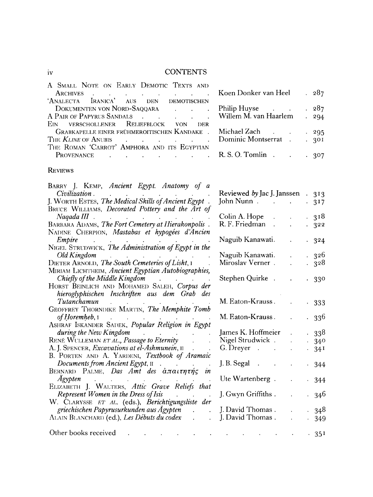## IV CONTENTS

| A SMALL NOTE ON EARLY DEMOTIC TEXTS AND                                    |  |
|----------------------------------------------------------------------------|--|
| ARCHIVES Koen Donker van Heel . 287                                        |  |
| 'ANALECTA IRANICA' AUS DEN DEMOTISCHEN                                     |  |
| DOKUMENTEN VON NORD-SAQQARA (Chemical Company Philip Huyse (Chemical Case) |  |
| A PAIR OF PAPYRUS SANDALS Willem M. van Haarlem . 294                      |  |
| EIN VERSCHOLLENER RELIEFBLOCK VON DER                                      |  |
| GRABKAPELLE EINER FRÜHMEROITISCHEN KANDAKE . Michael Zach 295              |  |
| THE KLINE OF ANUBIS Dominic Montserrat 301                                 |  |
| THE ROMAN 'CARROT' AMPHORA AND ITS EGYPTIAN                                |  |
| PROVENANCE R.S.O.Tomlin 307                                                |  |
|                                                                            |  |

### **REVIEWS**

| BARRY J. KEMP, Ancient Egypt. Anatomy of a                                                              |                                |                      |                 |
|---------------------------------------------------------------------------------------------------------|--------------------------------|----------------------|-----------------|
| Civilization.                                                                                           | Reviewed by Jac J. Janssen     |                      | 313             |
| J. WORTH ESTES, The Medical Skills of Ancient Egypt<br>BRUCE WILLIAMS, Decorated Pottery and the Art of | $\lambda$ ohn Nunn $\lambda$ . |                      | 317             |
| $Nagada III$ .                                                                                          | Colin A. Hope                  |                      | 318             |
| BARBARA ADAMS, The Fort Cemetery at Hierakonpolis.                                                      | R.F. Friedman                  |                      | 322             |
| NADINE CHERPION, Mastabas et hypogées d'Ancien                                                          |                                |                      |                 |
| Empire                                                                                                  | Naguib Kanawati.               |                      | $. \ 324$       |
| NIGEL STRUDWICK, The Administration of Egypt in the                                                     |                                |                      |                 |
| Old Kingdom                                                                                             | Naguib Kanawati.               |                      | $. \; 326$      |
| DIETER ARNOLD, The South Cemeteries of Lisht, 1                                                         | Miroslav Verner.               |                      | 328             |
| MIRIAM LICHTHEIM, Ancient Egyptian Autobiographies,                                                     |                                |                      |                 |
| Chiefly of the Middle Kingdom                                                                           | Stephen Quirke.                |                      | 330             |
| HORST BEINLICH AND MOHAMED SALEH, Corpus der                                                            |                                |                      |                 |
| hieroglyphischen Inschriften aus dem Grab des                                                           |                                |                      |                 |
| Tutanchamun                                                                                             | M. Eaton-Krauss.               |                      | .333            |
| GEOFFREY THORNDIKE MARTIN, The Memphite Tomb                                                            | M. Eaton-Krauss.               |                      |                 |
| of Horemheb, 1<br>$\mathbf{r}$ and $\mathbf{r}$ and $\mathbf{r}$                                        |                                |                      | .336            |
| ASHRAF ISKANDER SADEK, Popular Religion in Egypt<br>during the New Kingdom                              | James K. Hoffmeier             |                      |                 |
|                                                                                                         |                                |                      | .338            |
| RENÉ WULLEMAN ET AL., Passage to Eternity                                                               | Nigel Strudwick.               | $\ddot{\phantom{0}}$ | 340             |
| A. J. SPENCER, <i>Excavations at el-Ashmunein</i> , II<br>B. PORTEN AND A. YARDENI, Textbook of Aramaic |                                |                      | 34 <sup>1</sup> |
| Documents from Ancient Egypt, II                                                                        | J. B. Segal $\therefore$       |                      | . 344           |
| BERNARD PALME, Das Amt des $\dot{a}\pi a\iota\tau\eta\tau\eta\zeta$<br>$\sqrt{m}$                       |                                |                      |                 |
| Agypten<br>the contract of the contract of the                                                          | Ute Wartenberg.                |                      | 344             |
| ELIZABETH J. WALTERS, Attic Grave Reliefs that                                                          |                                |                      |                 |
| Represent Women in the Dress of Isis                                                                    | J. Gwyn Griffiths.             |                      | $. \, 346$      |
| W. CLARYSSE ET AL. (eds.), Berichtigungsliste der                                                       |                                |                      |                 |
| griechischen Papyrusurkunden aus Ägypten                                                                | J. David Thomas.               |                      | .348            |
| ALAIN BLANCHARD (ed.), Les Débuts du codex                                                              | J. David Thomas.               |                      | 349             |
| Other books received                                                                                    |                                |                      | .351            |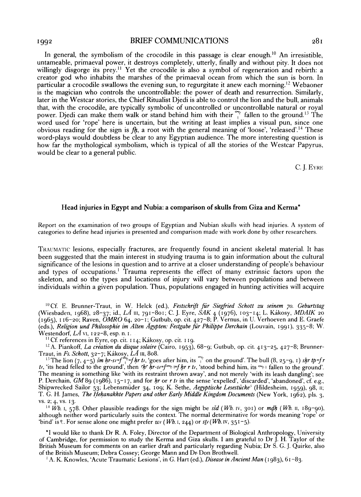untameable, primaeval power, it destroys completely, utterly, finally and without pity. It does not willingly disgorge its prey.<sup>11</sup> Yet the crocodile is also a symbol of regeneration and rebirth: a creator god who inhabits the marshes of the primaeval ocean from which the sun is born. In particular a crocodile swallows the evening sun, to regurgitate it anew each morning.'' Webaoner is the magician who controls the uncontrollable: the power of death and resurrection. Similarly, later in the Westcar stories, the Chief Ritualist Djedi is able to control the lion and the bull, animals that, with the crocodile, are typically symbolic of uncontrolled or uncontrollable natural or royal power. Djedi can make them walk or stand behind him with their  $\int_{1}^{\infty}$  fallen to the ground.<sup>13</sup> The word used for 'rope' here is uncertain, but the writing at least implies a visual pun, since one obvious reading for the sign is *fh*, a root with the general meaning of 'loose', 'released'.<sup>14</sup> These word-plays would doubtless be clear to any Egyptian audience. The more interesting question is how far the mythological symbolism, which is typical of all the stories of the Westcar Papyrus, would be clear to a general public.

C. J. EYRE

#### **Head injuries in Egypt and Nubia: a comparison of skulls from Giza and Kerma\***

Report on the examination of two groups of Egyptian and Nubian skulls with head injuries. A system of categories to define head injuries is presented and comparison made with work done by other researchers.

TRAUMATIC lesions, especially fractures, are frequently found in ancient skeletal material. It has been suggested that the main interest in studying trauma is to gain information about the cultural significance of the lesions in question and to arrive at a closer understanding of people's behaviour and types of occupations.' Trauma represents the effect of many extrinsic factors upon the skeleton, and so the types and locations of injury will vary between populations and between individuals within a given population. Thus, populations engaged in hunting activities will acquire

<sup>10</sup> Cf. E. Brunner-Traut, in W. Helck (ed.), *Festschrift für Siegfried Schott zu seinem 70. Geburtstag* (Wiesbaden, 1968), 28-37; id., LA III, 791-801; C. J. Eyre, *SAK* 4 (1976)) 103-14; L. Kikosy, *MDAIK* <sup>20</sup> (1965), 116-20; Raven, *OMRO* 64, 20-1; Gutbub, op. cit. 427-8; P. Vernus, in U. Verhoeven and E. Graefe (eds.), *Religion und Philosophie im Alten Ägypten: Festgabe für Philippe Derchain (Louvain, 1991), 335-8; W.* Westendorf,  $L\ddot{A}$  v<sub>I</sub>,  $122-8$ , esp. n. I.

<sup>11</sup> Cf. references in Eyre, op. cit. 114; Kákosy, op. cit. 119.

**'?A.**Piankoff, *La criation du disque solaire* (Cairo, 1953), 68-9; Gutbub, op. cit. 413-25, 427-8; Brunner-Traut, in *Fs. Schott,* 32-7; Kakosy, *LA* 111, 808.

aut, in *Fs. Schott*, 32–7; Kakosy, *LA* III, 808.<br><sup>13</sup> The lion (7, 4–5) *sm hr-si* =f *hr ti*, 'goes after him, its <sup>7</sup> on the ground'. The bull (8, 25–9, 1) *shr tp=f r* <sup>to</sup> The lion (7, 4–5) *sm hr-si=f i<sup>n-</sup>f hr ti*, goes after him, its in on the ground. The bull (8, 25–9, 1) *shr tp=f r* ti, 'stood behind him, its  $\gamma$  i fallen to the ground'. The meaning is something like 'with its restraint thrown away', and not merely 'with its leash dangling'; see P. Derchain, *GM* 89 (I 986) I 5- I 7, and for *hr* or *r tj* in the sense 'expelled', 'discarded', 'abandoned', cf. e.g., Shipwrecked Sailor 53; Lebensmüder 34, 109; K. Sethe, *Aegyptische Lesestücke*<sup>3</sup> (Hildesheim, 1959), 98, II; T. G. H. James, *The Hekanakhte Papers and other Early Middle Kingdom Documents* (New York, 1g62), pls. 3. vs. 2; 4, vs. 13.

<sup>I</sup>' *Wb.* I, 578. Other plausible readings for the sign might be *sSd* ( *Wb.* IV, 301) or *mdh* (Wb. 11, 189-go), although neither word particularly suits the context. The normal determinative for words meaning 'rope' or 'bind' is  $\ell$ . For sense alone one might prefer *wi* (*Wb.* 1, 244) or *sti* (*Wb.* IV, 351-5).

\*I would like to thank Dr R. A. Foley, Director of the Department of Biological Anthropology, University of Cambridge, for permission to study the Kerma and Giza skulls. I am grateful to Dr J. H. Taylor of the British Museum for comments on an earlier draft and particularly regarding Nubia; Dr S. G. J. Quirke, also of the British Museum; Debra Cossey; George Mann and Dr- Don Brothwell.

I A. K. Knowles, 'Acute Traumatic Lesions', in G. Hart (ed.), *Disease in Ancient Man* (I 983), *6* I -83.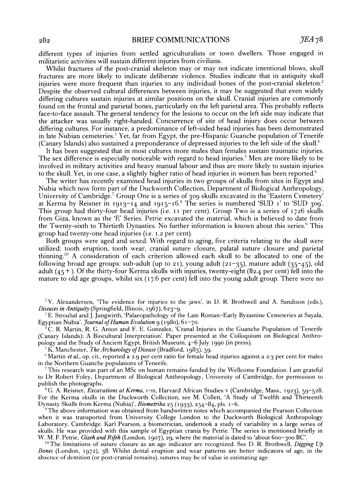different types of injuries from settled agriculturalists or town dwellers. Those engaged in militaristic activities will sustain different injuries from civilians.

Whilst fractures of the post-cranial skeleton may or may not indicate intentional blows, skull fractures are more likely to indicate deliberate violence. Studies indicate that in antiquity skull injuries were more frequent than injuries to any individual bones of the post-cranial skeleton.' Despite the observed cultural differences between injuries, it may be suggested that even widely differing cultures sustain injuries at similar positions on the skull. Cranial injuries are commonly found on the frontal and parietal bones, particularly on the left parietal area. This probably reflects face-to-face assault. The general tendency for the lesions to occur on the left side may indicate that the attacker was usually right-handed. Concurrence of site of head injury does occur between differing cultures. For instance, a predominance of left-sided head injuries has been demonstrated in late Nubian cemeteries.<sup>3</sup> Yet, far from Egypt, the pre-Hispanic Guanche population of Tenerife (Canary Islands) also sustained a preponderance of depressed injuries to the left side of the skull.'

It has been suggested that in most cultures more males than females sustain traumatic injuries. The sex difference is especially noticeable with regard to head injuries.<sup>5</sup> Men are more likely to be involved in military activities and heavy manual labour and thus are more likely to sustain injuries to the skull. Yet, in one case, a slightly higher ratio of head injuries in women has been reported.<sup>6</sup>

The writer has recently examined head injuries in two groups of skulls from sites in Egypt and Nubia which now form part of the Duckworth Collection, Department of Biological Anthropology, University of Cambridge.' Croup One is a series of 309 skulls excavated in the 'Eastern Cemetery' at Kerma by Reisner in  $1913 - 14$  and  $1915 - 16$ .<sup>8</sup> The series is numbered 'SUD 1' to 'SUD 309'. This group had thirty-four head injuries (i.e. I I per cent). Group Two is a series of I 726 skulls from Giza, known as the 'E' Series. Petrie excavated the material, which is believed to date from the Twenty-sixth to Thirtieth Dynasties. No further information is known about this series." This group had twenty-one head injuries (i.e. 1.2 per cent).

Both groups were aged and sexed. With regard to aging, five criteria relating to the skull were utilized: tooth eruption, tooth \\ear, cranial suture closure, palatal suture closure and parietal thinning."' A consideration of each criterion allowed each skull to be allocated to one of the following broad age groups: sub-adult (up to 21), young adult (21-35), mature adult (35-45), old adult  $(45 +)$ . Of the thirty-four Kerma skulls with injuries, twenty-eight  $(82.4 \text{ per cent})$  fell into the mature to old age groups, whilst six (I 7.6 per cent) fell into the young adult group. There were no

 $2$ V. Alexandersen, 'The evidence for injuries to the jaws', in D. R. Brothwell and A. Sandison (eds.), *Diseases in Antiquity* (Springfield, Illinois, 1g67), 623-9.

 ${}^{3}$  E. Strouhal and J. Jungwirth, 'Palaeopathology of the Late Roman-Early Byzantine Cemeteries at Sayala, Egyptian Nubia'. *Journal of Human Evolution* **9** (1980), 61-70.

<sup>t</sup> C. R. Martin, R. G. Anton and F. E. Gonzalez, 'Cranal Injuries in the Guanche Population of Tenerife (Canary Islands): A Biocultural Interpretation'. Paper presented at the Colloquium on Biological Anthropoiogy and the Study of Ancient Egypt, British Museum, 4-6 July 1990 (in press).

<sup>5</sup> K. Manchester, *The Archaeology of Disease* (Bradford, 1983), 59.

<sup>6</sup> Martin *et al.*, op. cit., reported a 2.9 per cent ratio for female head injuries against a 2.3 per cent for males in the Northern Guanche populations of Tenerife.

<sup>7</sup> This research was part of an MSc on human remains funded by the Wellcome Foundation. I am grateful to Dr Robert Foley, Department of Biological Anthropology, University of Cambridge, for permission to publish the photographs.

\* G. A. Reisner, *Excavations at Kerma,* 1-111, Harvard African Studies v (Cambridge, Mass., 1923). 59-528. For the Kerma skulls in the Lluckworth Collection, see M. Collett, 'A Study of Twelfth and Thirteenth Dynasty Skulls from Kerma (Nubia)', *Biometrika* 25 (1933), 254-84, pls. I -6.

"The above information was obtained from handwritten notes which accompanied the Pearson Collection when it was transported from University College London to the Duckworth Biological Anthropology Laboratory, Cambridge. Karl Pearson, a biometrician, undertook a study of variability in a large series of skulls. He was provided with this sample of Egyptian crania by Petrie. The series is mentioned briefly in W. M. F. Petrie. *Gizeh and Rifeh* (London, I 907), 29, where the material is dated to 'about 600-300 BC'.

"'The limitations of suture closure as an age indicator are recognized. See I). **K.**Brothwell, *Digging* Up *Bones* (London, 1972), 38. Whilst dental eruption and wear patterns are better indicators of age, in the absence of dentition (or post-cranial remains), sutures may be of value in estimating age.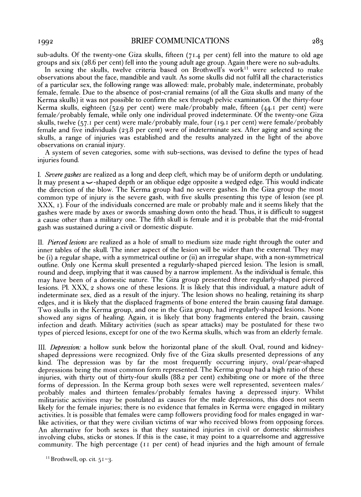sub-adults. Of the twenty-one Giza skulls, fifteen (71.4 per cent) fell into the mature to old age groups and six (28.6 per cent) fell into the young adult age group. Again there were no sub-adults.

In sexing the skulls, twelve criteria based on Brothwell's work<sup>11</sup> were selected to make observations about the face, mandible and vault. As some skulls did not fulfil all the characteristics of a particular sex, the following range was allowed: male, probably male, indeterminate, probably female. female. Due to the absence of post-cranial remains (of all the Giza skulls and many of the Kerma skulls) it was not possible to confirm the sex through pelvic examination. Of the thirty-four Kerma skulls, eighteen **(52.9** per cent) were male/probably male, fifteen (44.1 per cent) were female/probably female, while only one individual proved indeterminate. Of the twenty-one Giza skulls, twelve (57. I per cent) were male/probably male, four (19. I per cent) were female/probably female and five individuals (23.8 per cent) were of indeterminate sex. After aging and sexing the skulls, a range of injuries was established and the results analyzed in the light of the above observations on cranial injury.

A system of seven categories, some with sub-sections, was devised to define the types of head injuries found.

I. *Severegashes* are realized as a long and deep cleft, which may be of uniform depth or undulating. It may present a  $\sim$ -shaped depth or an oblique edge opposite a wedged edge. This would indicate the direction of the blow. The Kerma group had no severe gashes. In the Giza group the most common type of injury is the severe gash, with five skulls presenting this type of lesion (see pl. XXX, I). Four of the individuals concerned are male or probably male and it seems likely that the gashes were made by axes or swords smashing down onto the head. Thus, it is difficult to suggest a cause other than a military one. The fifth skull is female and it is probable that the mid-frontal gash was sustained during a civil or domestic dispute.

11. *Pierced lesions* are realized as a hole of small to medium size made right through the outer and inner tables of the skull. The inner aspect of the lesion will be wider than the external. They may be (i) a regular shape, with a symmetrical outline or (ii) an irregular shape, with a non-symmetrical outline. Only one Kerma skull presented a regularly-shaped pierced lesion. The lesion is small, round and deep, implying that it was caused by a narrow implement. As the individual is female, this may have been of a domestic nature. The Giza group presented three regularly-shaped pierced lesions. PI. XXX, 2 shows one of these lesions. It is likely that this individual, a mature adult of indeterminate sex, died as a result of the injury. The lesion shows no healing, retaining its sharp edges, and it is likely that the displaced fragments of bone entered the brain causing fatal damage. Two skulls in the Kerma group, and one in the Giza group, had irregularly-shaped lesions. Kone showed any signs of healing. Again, it is likely that bony fragments entered the brain, causing infection and death. Military activities (such as spear attacks) may be postulated for these two types of pierced lesions, except for one of the two Kerma skulls, \vhich was from an elderly female.

111. *Depression:* a hollow sunk below the horizontal plane of the skull. Oval, round and kidneyshaped depressions were recognized. Only five of the Giza skulls presented depressions of any kind. The depression was by far the most frequently occurring injury, oval/pear-shaped depressions being the most common form represented. The Kerma group had a high ratio of these injuries, with thirty out of thirty-four skulls (88.2 per cent) exhibiting one or more of the three forms of depression. In the Kerma group both sexes were well represented, seventeen males/ probably males and thirteen females/probably females having a depressed injury. Whilst militaristic activities may be postulated as causes for the male depressions, this does not seem likely for the female injuries; there is no evidence that females in Kerma were engaged in military activities. It is possible that females were camp followers providing food for males engaged in warlike activities, or that they were civilian victims of war who received blows from opposing forces. An alternative for both sexes is that they sustained injuries in civil or domestic skirmishes involving clubs, sticks or stones. If this is the case, it may point to a quarrelsome and aggressive community. The high percentage (I I per cent) of head injuries and the high amount of female

 $\frac{11}{1}$  Brothwell, op. cit.  $51 - 3$ .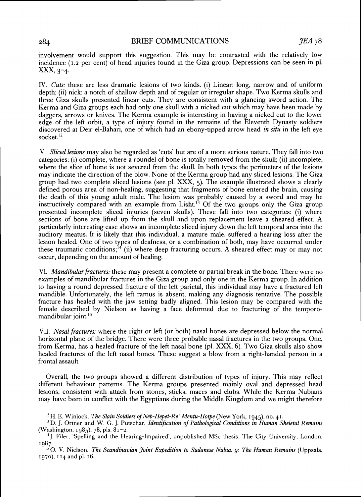involvement would support this suggestion. This may be contrasted with the relatively low incidence (1.2 per cent) of head injuries found in the Giza group. Depressions can be seen in pl. XXX, 3-4

*IV. Cuts:* these are less dramatic lesions of two kinds. (i) Linear: long, narrow and of uniform depth; (ii) nick: a notch of shallow depth and of regular or irregular shape. Two Kerma skulls and three Giza skulls presented linear cuts. They are consistent with a glancing sword action. The Kerma and Giza groups each had only one skull with a nicked cut which may have been made by daggers, arrows or knives. The Kerma example is interesting in having a nicked cut to the lower edge of the left orbit, a type of injury found in the remains of the Eleventh Dynasty soldiers discovered at Deir el-Rahari, one of which had an ebony-tipped arrow head *in situ* in the left eye socket.<sup>12</sup>

V. *Sliced lesions* may also be regarded as 'cuts' but are of a more serious nature. They fall into two categories: (i) complete, where a roundel of bone is totally removed from the skull; (ii) incomplete, where the slice of bone is not severed from the skull. In both types the perimeters of the lesions may indicate the direction of the blow. None of the Kerma group had any sliced lesions. The Giza group had two complete sliced lesions (see pl. XXX, 5). The example illustrated shows a clearly defined porous area of non-healing, suggesting that fragments of bone entered the brain, causing the death of this young adult male. The lesion was probably caused by a sword and may be instructively compared with an example from Lisht.<sup>13</sup> Of the two groups only the Giza group presented incomplete sliced injuries (seven skulls). These fall into two categories: (i) where sections of bone are lifted up from the skull and upon replacement leave a sheared effect. A particularly interesting case shows an incomplete sliced injury down the left temporal area into the auditory meatus. It is likely that this individual, a mature male, suffered a hearing loss after the lesion healed. One of two types of deafness, or a combination of both, may have occurred under these traumatic conditions;<sup>14</sup> (ii) where deep fracturing occurs. A sheared effect may or may not occur, depending on the amount of healing.

VI. *Mandibular fractures:* these may present a complete or partial break in the bone. There were no examples of mandibular fractures in the Giza group and only one in the Kerma group. In addition to having a round depressed fracture of the left parietal, this individual may have a fractured left mandible. Unfortunately, the left ramus is absent, making any diagnosis tentative. The possible fracture has healed with the jaw setting badly aligned. This lesion may be compared with the female described by Nielson as having a face deformed due to fracturing of the temporomandibular joint.<sup>15</sup>

VII. *Nasal fractures:* where the right or left (or both) nasal bones are depressed below the normal horizontal plane of the bridge. There were three probable nasal fractures in the two groups. One, from Kerma, has a healed fracture of the left nasal bone (pl. XXX, 6). Two Giza skulls also show healed fractures of the left nasal bones. These suggest a blow from a right-handed person in a frontal assault.

Overall, the two groups showed a different distribution of types of injury. This may reflect different behaviour patterns. The Kerma groups presented mainly oval and depressed head lesions, consistent with attack from stones, sticks, maces and clubs. While the Kerma Nubians may have been in conflict with the Egyptians during the Middle Kingdom and we might therefore

<sup>12</sup> H. E. Winlock, *The Slain Soldiers of Neb-Hepet-Re' Mentu-Hotpe* (New York, 1945), no. 41.

<sup>13</sup> D. J. Ortner and W. G. J. Putschar, *Identification of Pathological Conditions in Human Skeletal Remains* (Washington, 1985), 78, pls.  $81-2$ .

<sup>14</sup> J. Filer, 'Spelling and the Hearing-Impaired', unpublished MSc thesis, The City University, London, I 987

<sup>15</sup>O. V. Nielson, *The Scandinavian Joint Expedition to Sudanese Nubia.*  $q$ *: The Human Remains (Uppsala,* 1970), 114 and pl. 16.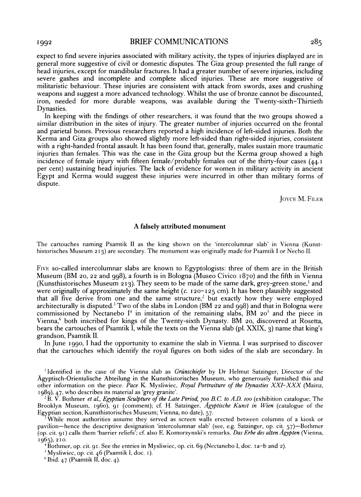I992 BRIEF COMMUNICATIONS 285

expect to find severe injuries associated with military activity, the types of injuries displayed are in general more suggestive of civil or domestic disputes. The Giza group presented the full range of head injuries, except for mandibular fractures. It had a greater number of severe injuries, including severe gashes and incomplete and complete sliced injuries. These are more suggestive of militaristic behaviour. These injuries are consistent with attack from swords, axes and crushing weapons and suggest a more advanced technology. Whilst the use of bronze cannot be discounted, iron, needed for more durable weapons, was available during the Twenty-sixth-Thirtieth Dynasties.

In keeping with the findings of other researchers, it was found that the two groups showed a similar distribution in the sites of injury. The greater number of injuries occurred on the frontal and parietal bones. Previous researchers reported a high incidence of left-sided injuries. Both the Kerma and Giza groups also showed slightly more left-sided than right-sided injuries, consistent with a right-handed frontal assault. It has been found that, generally, males sustain more traumatic injuries than females. This was the case in the Giza group but the Kerma group showed a high incidence of female injury with fifteen female/probably females out of the thirty-four cases (44.1 per cent) sustaining head injuries. The lack of evidence for women in military activity in ancient Egypt and Kerma would suggest these injuries were incurred in other than military forms of dispute.

JOYCE M. FILER

#### **A falsely attributed monument**

The cartouches naming Psamtik II as the king shown on the 'intercolumnar slab' in Vienna (Kunsthistorisches Museum 213) are secondary. The monument was originally made for Psamtik I or Necho II.

Five so-called intercolumnar slabs are known to Egyptologists: three of them are in the British Museum (BM 20, 22 and 998), a fourth is in Bologna (Museo Civico 1870) and the fifth in Vienna (Kunsthistorisches Museum 213). They seem to be made of the same dark, grey-green stone,<sup>1</sup> and were originally of approximately the same height (c. 120-125 cm). It has been plausibly suggested that all five derive from one and the same structure,<sup>2</sup> but exactly how they were employed architecturally is disputed.<sup>3</sup> Two of the slabs in London (BM 22 and 998) and that in Bologna were commissioned by Nectanebo I<sup>4</sup> in imitation of the remaining slabs, BM 20<sup>5</sup> and the piece in Vienna," both inscribed for kings of the Twenty-sixth Dynasty. BM 20, discovered at Rosetta, bears the cartouches of Psamtik I, while the texts on the Vienna slab (pl. XXIX, 3) name that king's grandson, Psamtik 11.

In June 1990, I had the opportunity to examine the slab in Vienna. I was surprised to discover that the cartouches which identify the royal figures on both sides of the slab are secondary. In

<sup>1</sup> Identified in the case of the Vienna slab as *Grünschiefer* by Dr Helmut Satzinger, Director of the Agyptisch-Orientalische Abteilung in the Kunsthistorisches Museum, who generously furnished this and other information on the piece. *Pace* K. Mysliwiec, *Royal Portraiture of the Dynasties XXI-XXX* (Mainz, 1989). 47, who describes its material as 'grey granite'.

<sup>2</sup>B. **V**. Bothmer *et al., Egyptian Sculpture of the Late Period, 700 B.C. to A.D. 100 (exhibition catalogue; The* Brooklyn Museum, 1g6o), 91 (comment); cf. H. Satzinger. *Agyptische Kunst in Wen* (catalogue of the Egyptian section, Kunsthistorisches Museum; Vienna, no date), 57.

'While most authorities assume they served as screen walls erected between columns of a kiosk or pavilion-hence the descriptive designation 'intercolumnar slab' (see, e.g. Satzinger, op. cit. 57)-Bothmer (op. cit. 91) calls them 'barrier reliefs'; cf also E. Komorzynski's remarks, *Das Erbe* des *alten Agypten* (Vienna, *<sup>I</sup>*g65),*<sup>2</sup>* I o.

<sup>+</sup>Bothmer, op. cit. 91. See the entries in Mysliwiec, op. cit. 69 (Nectanebo I, doc. 1a-b and 2).

 $<sup>5</sup>$  Mysliwiec, op. cit. 46 (Psamtik I, doc. 1).</sup>

" Ibid. 47 (Psamtik **11,** doc. 4).